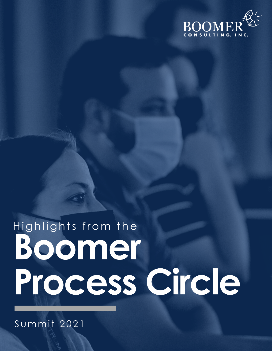

# Highlights from the Boomer Process Circle

Summit 2021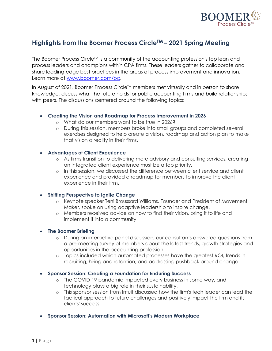

## **Highlights from the Boomer Process CircleTM – 2021 Spring Meeting**

The Boomer Process Circle<sup>TM</sup> is a community of the accounting profession's top lean and process leaders and champions within CPA firms. These leaders gather to collaborate and share leading-edge best practices in the areas of process improvement and innovation. Learn more at www.boomer.com/pc.

In August of 2021, Boomer Process Circle™ members met virtually and in person to share knowledge, discuss what the future holds for public accounting firms and build relationships with peers. The discussions centered around the following topics:

#### • **Creating the Vision and Roadmap for Process Improvement in 2026**

- o What do our members want to be true in 2026?
- o During this session, members broke into small groups and completed several exercises designed to help create a vision, roadmap and action plan to make that vision a reality in their firms.

#### • **Advantages of Client Experience**

- o As firms transition to delivering more advisory and consulting services, creating an integrated client experience must be a top priority.
- o In this session, we discussed the difference between client service and client experience and provided a roadmap for members to improve the client experience in their firm.

#### • **Shifting Perspective to Ignite Change**

- o Keynote speaker Terri Broussard Williams, Founder and President of Movement Maker, spoke on using adaptive leadership to inspire change.
- o Members received advice on how to find their vision, bring it to life and implement it into a community

#### • **The Boomer Briefing**

- o During an interactive panel discussion, our consultants answered questions from a pre-meeting survey of members about the latest trends, growth strategies and opportunities in the accounting profession.
- o Topics included which automated processes have the greatest ROI, trends in recruiting, hiring and retention, and addressing pushback around change.
- **Sponsor Session: Creating a Foundation for Enduring Success**
	- o The COVID-19 pandemic impacted every business in some way, and technology plays a big role in their sustainability.
	- o This sponsor session from Intuit discussed how the firm's tech leader can lead the tactical approach to future challenges and positively impact the firm and its clients' success.
- **Sponsor Session: Automation with Microsoft's Modern Workplace**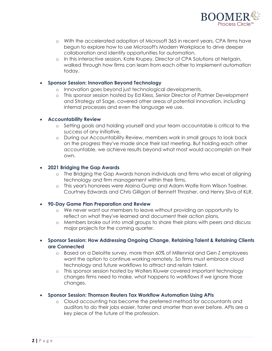

- o With the accelerated adoption of Microsoft 365 in recent years, CPA firms have begun to explore how to use Microsoft's Modern Workplace to drive deeper collaboration and identify opportunities for automation.
- o In this interactive session, Kate Krupey, Director of CPA Solutions at Netgain, walked through how firms can learn from each other to implement automation today.

#### • **Sponsor Session: Innovation Beyond Technology**

- o Innovation goes beyond just technological developments.
- o This sponsor session hosted by Ed Kless, Senior Director of Partner Development and Strategy at Sage, covered other areas of potential innovation, including internal processes and even the language we use.

#### • **Accountability Review**

- o Setting goals and holding yourself and your team accountable is critical to the success of any initiative.
- o During our Accountability Review, members work in small groups to look back on the progress they've made since their last meeting. But holding each other accountable, we achieve results beyond what most would accomplish on their own.

#### • **2021 Bridging the Gap Awards**

- o The Bridging the Gap Awards honors individuals and firms who excel at aligning technology and firm management within their firms.
- o This year's honorees were Alaina Gump and Adam Wolfe from Wilson Toellner, Courtney Edwards and Chris Gilligan of Bennett Thrasher, and Henry Silva of KLR.

#### • **90-Day Game Plan Preparation and Review**

- o We never want our members to leave without providing an opportunity to reflect on what they've learned and document their action plans.
- o Members broke out into small groups to share their plans with peers and discuss major projects for the coming quarter.
- **Sponsor Session: How Addressing Ongoing Change, Retaining Talent & Retaining Clients are Connected**
	- o Based on a Deloitte survey, more than 60% of Millennial and Gen Z employees want the option to continue working remotely. So firms must embrace cloud technology and future workflows to attract and retain talent.
	- o This sponsor session hosted by Wolters Kluwer covered important technology changes firms need to make, what happens to workflows if we ignore those changes.
- **Sponsor Session: Thomson Reuters Tax Workflow Automation Using APIs**
	- o Cloud accounting has become the preferred method for accountants and auditors to do their jobs easier, faster and smarter than ever before. APIs are a key piece of the future of the profession.